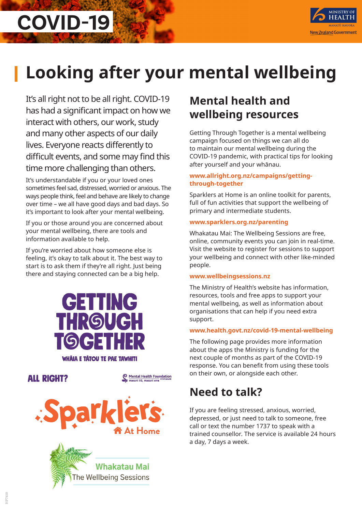

# **Looking after your mental wellbeing**

It's all right not to be all right. COVID-19 has had a significant impact on how we interact with others, our work, study and many other aspects of our daily lives. Everyone reacts differently to difficult events, and some may find this time more challenging than others.

**COVID-19**

It's understandable if you or your loved ones sometimes feel sad, distressed, worried or anxious. The ways people think, feel and behave are likely to change over time – we all have good days and bad days. So it's important to look after your mental wellbeing.

If you or those around you are concerned about your mental wellbeing, there are tools and information available to help.

If you're worried about how someone else is feeling, it's okay to talk about it. The best way to start is to ask them if they're all right. Just being there and staying connected can be a big help.



**ALL RIGHT?** 

Mental Health Foundation iauri tū, mauri ere





# **Mental health and wellbeing resources**

Getting Through Together is a mental wellbeing campaign focused on things we can all do to maintain our mental wellbeing during the COVID-19 pandemic, with practical tips for looking after yourself and your whānau.

### **www.allright.org.nz/campaigns/gettingthrough-together**

Sparklers at Home is an online toolkit for parents, full of fun activities that support the wellbeing of primary and intermediate students.

### **www.sparklers.org.nz/parenting**

Whakatau Mai: The Wellbeing Sessions are free, online, community events you can join in real-time. Visit the website to register for sessions to support your wellbeing and connect with other like-minded people.

#### **www.wellbeingsessions.nz**

The Ministry of Health's website has information, resources, tools and free apps to support your mental wellbeing, as well as information about organisations that can help if you need extra support.

## **www.health.govt.nz/covid-19-mental-wellbeing**

The following page provides more information about the apps the Ministry is funding for the next couple of months as part of the COVID-19 response. You can benefit from using these tools on their own, or alongside each other.

# **Need to talk?**

If you are feeling stressed, anxious, worried, depressed, or just need to talk to someone, free call or text the number 1737 to speak with a trained counsellor. The service is available 24 hours a day, 7 days a week.